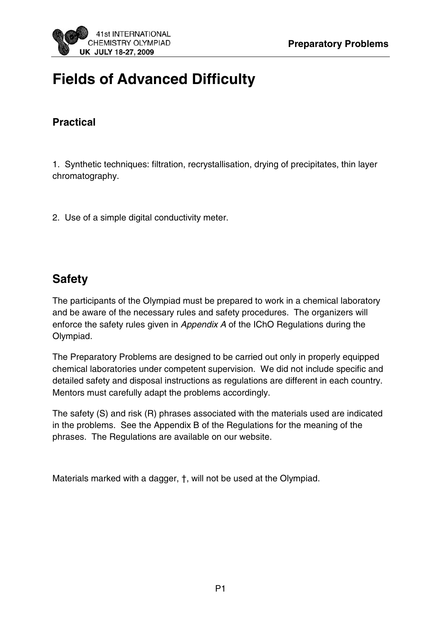# **Fields of Advanced Difficulty**

# **Practical**

1. Synthetic techniques: filtration, recrystallisation, drying of precipitates, thin layer chromatography.

2. Use of a simple digital conductivity meter.

# **Safety**

The participants of the Olympiad must be prepared to work in a chemical laboratory and be aware of the necessary rules and safety procedures. The organizers will enforce the safety rules given in Appendix A of the IChO Regulations during the Olympiad.

The Preparatory Problems are designed to be carried out only in properly equipped chemical laboratories under competent supervision. We did not include specific and detailed safety and disposal instructions as regulations are different in each country. Mentors must carefully adapt the problems accordingly.

The safety (S) and risk (R) phrases associated with the materials used are indicated in the problems. See the Appendix B of the Regulations for the meaning of the phrases. The Regulations are available on our website.

Materials marked with a dagger, †, will not be used at the Olympiad.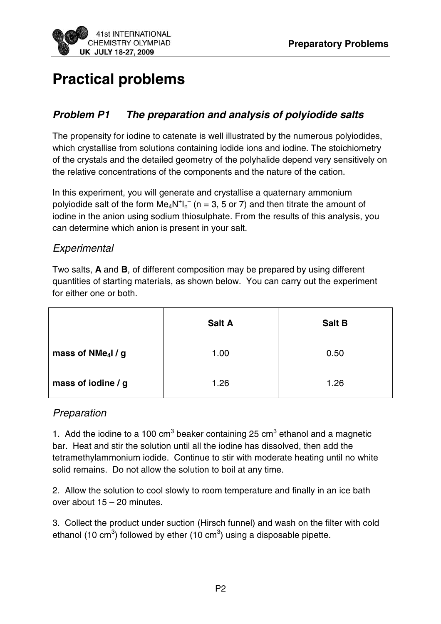

# **Practical problems**

## **Problem P1 The preparation and analysis of polyiodide salts**

The propensity for iodine to catenate is well illustrated by the numerous polyiodides, which crystallise from solutions containing iodide ions and iodine. The stoichiometry of the crystals and the detailed geometry of the polyhalide depend very sensitively on the relative concentrations of the components and the nature of the cation.

In this experiment, you will generate and crystallise a quaternary ammonium polyiodide salt of the form  $Me_4N^+I_n^-$  (n = 3, 5 or 7) and then titrate the amount of iodine in the anion using sodium thiosulphate. From the results of this analysis, you can determine which anion is present in your salt.

#### **Experimental**

Two salts, **A** and **B**, of different composition may be prepared by using different quantities of starting materials, as shown below. You can carry out the experiment for either one or both.

|                                        | <b>Salt A</b> | <b>Salt B</b> |
|----------------------------------------|---------------|---------------|
| mass of NMe <sub>4</sub> $\frac{1}{g}$ | 1.00          | 0.50          |
| mass of iodine / g                     | 1.26          | 1.26          |

#### Preparation

1. Add the iodine to a 100  $\text{cm}^3$  beaker containing 25  $\text{cm}^3$  ethanol and a magnetic bar. Heat and stir the solution until all the iodine has dissolved, then add the tetramethylammonium iodide. Continue to stir with moderate heating until no white solid remains. Do not allow the solution to boil at any time.

2. Allow the solution to cool slowly to room temperature and finally in an ice bath over about 15 – 20 minutes.

3. Collect the product under suction (Hirsch funnel) and wash on the filter with cold ethanol (10 cm<sup>3</sup>) followed by ether (10 cm<sup>3</sup>) using a disposable pipette.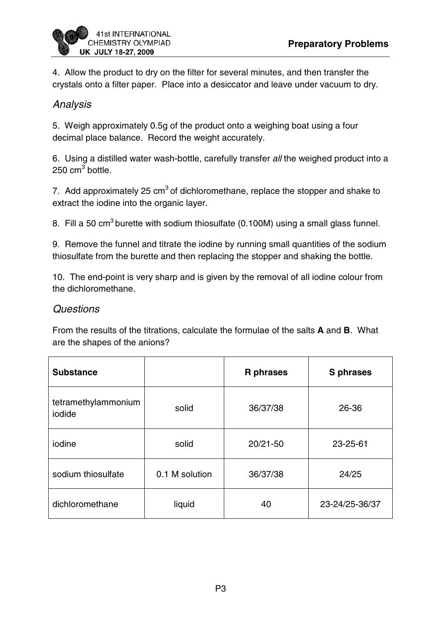

4. Allow the product to dry on the filter for several minutes, and then transfer the crystals onto a filter paper. Place into a desiccator and leave under vacuum to dry.

#### Analysis

5. Weigh approximately 0.5g of the product onto a weighing boat using a four decimal place balance. Record the weight accurately.

6. Using a distilled water wash-bottle, carefully transfer all the weighed product into a 250 cm $^3$  bottle.

7. Add approximately 25  $\text{cm}^3$  of dichloromethane, replace the stopper and shake to extract the iodine into the organic layer.

8. Fill a 50 cm<sup>3</sup> burette with sodium thiosulfate (0.100M) using a small glass funnel.

9. Remove the funnel and titrate the iodine by running small quantities of the sodium thiosulfate from the burette and then replacing the stopper and shaking the bottle.

10. The end-point is very sharp and is given by the removal of all iodine colour from the dichloromethane.

#### **Questions**

From the results of the titrations, calculate the formulae of the salts **A** and **B**. What are the shapes of the anions?

| <b>Substance</b>              |                | <b>R</b> phrases | S phrases      |
|-------------------------------|----------------|------------------|----------------|
| tetramethylammonium<br>iodide | solid          | 36/37/38         | 26-36          |
| iodine                        | solid          | $20/21 - 50$     | 23-25-61       |
| sodium thiosulfate            | 0.1 M solution | 36/37/38         | 24/25          |
| dichloromethane               | liquid         | 40               | 23-24/25-36/37 |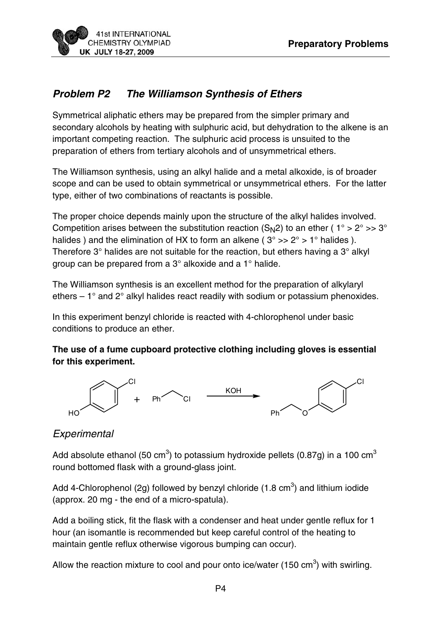

# **Problem P2 The Williamson Synthesis of Ethers**

Symmetrical aliphatic ethers may be prepared from the simpler primary and secondary alcohols by heating with sulphuric acid, but dehydration to the alkene is an important competing reaction. The sulphuric acid process is unsuited to the preparation of ethers from tertiary alcohols and of unsymmetrical ethers.

The Williamson synthesis, using an alkyl halide and a metal alkoxide, is of broader scope and can be used to obtain symmetrical or unsymmetrical ethers. For the latter type, either of two combinations of reactants is possible.

The proper choice depends mainly upon the structure of the alkyl halides involved. Competition arises between the substitution reaction (S<sub>N</sub>2) to an ether ( $1^\circ$  > 2 $^\circ$  >> 3 $^\circ$ halides ) and the elimination of HX to form an alkene ( $3^{\circ}$  >>  $2^{\circ}$  > 1° halides ). Therefore 3° halides are not suitable for the reaction, but ethers having a 3° alkyl group can be prepared from a 3° alkoxide and a 1° halide.

The Williamson synthesis is an excellent method for the preparation of alkylaryl ethers  $-1^\circ$  and  $2^\circ$  alkyl halides react readily with sodium or potassium phenoxides.

In this experiment benzyl chloride is reacted with 4-chlorophenol under basic conditions to produce an ether.

#### **The use of a fume cupboard protective clothing including gloves is essential for this experiment.**



## **Experimental**

Add absolute ethanol (50 cm<sup>3</sup>) to potassium hydroxide pellets (0.87g) in a 100 cm<sup>3</sup> round bottomed flask with a ground-glass joint.

Add 4-Chlorophenol (2g) followed by benzyl chloride (1.8 cm<sup>3</sup>) and lithium iodide (approx. 20 mg - the end of a micro-spatula).

Add a boiling stick, fit the flask with a condenser and heat under gentle reflux for 1 hour (an isomantle is recommended but keep careful control of the heating to maintain gentle reflux otherwise vigorous bumping can occur).

Allow the reaction mixture to cool and pour onto ice/water (150 cm<sup>3</sup>) with swirling.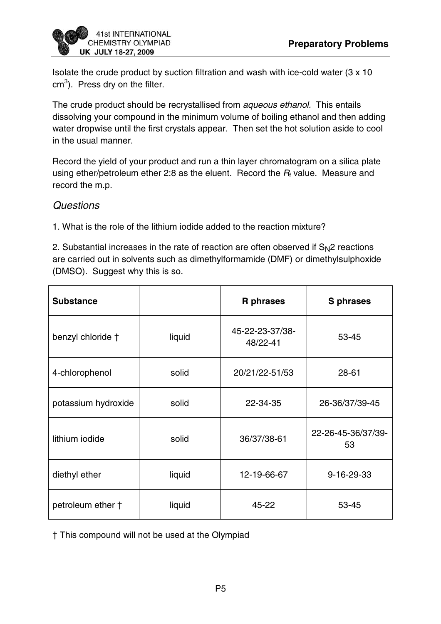

Isolate the crude product by suction filtration and wash with ice-cold water (3 x 10  $cm<sup>3</sup>$ ). Press dry on the filter.

The crude product should be recrystallised from aqueous ethanol. This entails dissolving your compound in the minimum volume of boiling ethanol and then adding water dropwise until the first crystals appear. Then set the hot solution aside to cool in the usual manner.

Record the yield of your product and run a thin layer chromatogram on a silica plate using ether/petroleum ether 2:8 as the eluent. Record the  $R_f$  value. Measure and record the m.p.

#### **Questions**

1. What is the role of the lithium iodide added to the reaction mixture?

2. Substantial increases in the rate of reaction are often observed if  $S_N$ 2 reactions are carried out in solvents such as dimethylformamide (DMF) or dimethylsulphoxide (DMSO). Suggest why this is so.

| <b>Substance</b>    |        | R phrases                   | S phrases                |
|---------------------|--------|-----------------------------|--------------------------|
| benzyl chloride †   | liquid | 45-22-23-37/38-<br>48/22-41 | 53-45                    |
| 4-chlorophenol      | solid  | 20/21/22-51/53              | $28 - 61$                |
| potassium hydroxide | solid  | 22-34-35                    | 26-36/37/39-45           |
| lithium iodide      | solid  | 36/37/38-61                 | 22-26-45-36/37/39-<br>53 |
| diethyl ether       | liquid | 12-19-66-67                 | 9-16-29-33               |
| petroleum ether +   | liquid | 45-22                       | 53-45                    |

† This compound will not be used at the Olympiad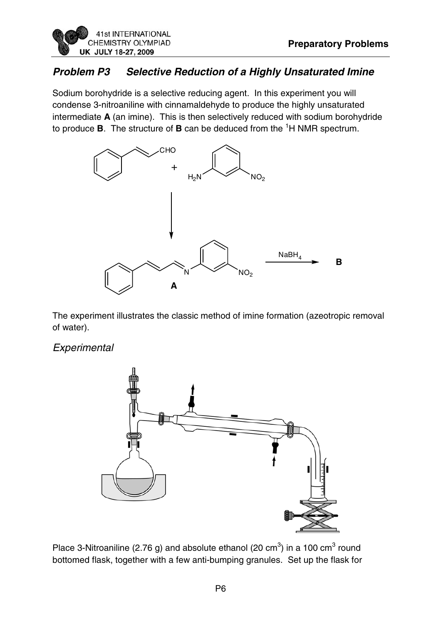# **Problem P3 Selective Reduction of a Highly Unsaturated Imine**

Sodium borohydride is a selective reducing agent. In this experiment you will condense 3-nitroaniline with cinnamaldehyde to produce the highly unsaturated intermediate **A** (an imine). This is then selectively reduced with sodium borohydride to produce **B**. The structure of **B** can be deduced from the <sup>1</sup>H NMR spectrum.



The experiment illustrates the classic method of imine formation (azeotropic removal of water).

#### **Experimental**



Place 3-Nitroaniline (2.76 g) and absolute ethanol (20 cm<sup>3</sup>) in a 100 cm<sup>3</sup> round bottomed flask, together with a few anti-bumping granules. Set up the flask for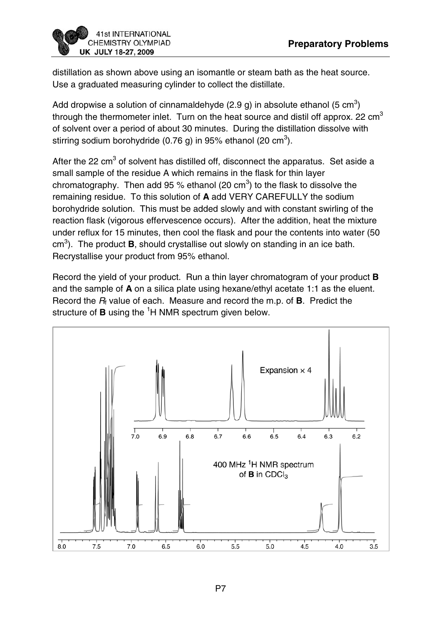

distillation as shown above using an isomantle or steam bath as the heat source. Use a graduated measuring cylinder to collect the distillate.

Add dropwise a solution of cinnamaldehyde (2.9 g) in absolute ethanol (5 cm<sup>3</sup>) through the thermometer inlet. Turn on the heat source and distil off approx. 22  $\text{cm}^3$ of solvent over a period of about 30 minutes. During the distillation dissolve with stirring sodium borohydride (0.76 g) in 95% ethanol (20 cm $^3$ ).

After the 22 cm<sup>3</sup> of solvent has distilled off, disconnect the apparatus. Set aside a small sample of the residue A which remains in the flask for thin layer chromatography. Then add 95 % ethanol (20 cm<sup>3</sup>) to the flask to dissolve the remaining residue. To this solution of **A** add VERY CAREFULLY the sodium borohydride solution. This must be added slowly and with constant swirling of the reaction flask (vigorous effervescence occurs). After the addition, heat the mixture under reflux for 15 minutes, then cool the flask and pour the contents into water (50 cm<sup>3</sup>). The product **B**, should crystallise out slowly on standing in an ice bath. Recrystallise your product from 95% ethanol.

Record the yield of your product. Run a thin layer chromatogram of your product **B** and the sample of **A** on a silica plate using hexane/ethyl acetate 1:1 as the eluent. Record the  $R_f$  value of each. Measure and record the m.p. of **B**. Predict the structure of **B** using the <sup>1</sup>H NMR spectrum given below.

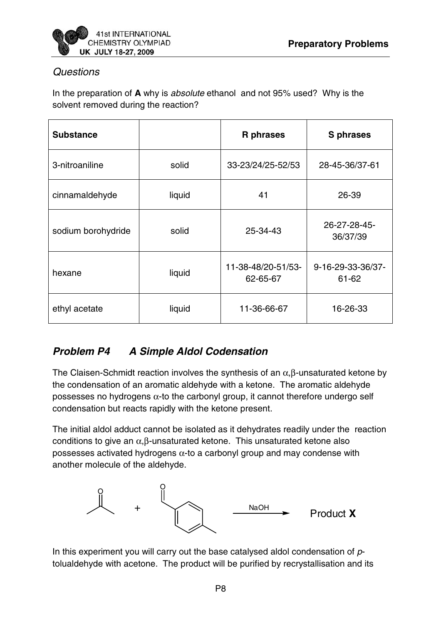

#### **Questions**

In the preparation of **A** why is absolute ethanol and not 95% used? Why is the solvent removed during the reaction?

| <b>Substance</b>   |        | <b>R</b> phrases               | <b>S</b> phrases           |
|--------------------|--------|--------------------------------|----------------------------|
| 3-nitroaniline     | solid  | 33-23/24/25-52/53              | 28-45-36/37-61             |
| cinnamaldehyde     | liquid | 41                             | 26-39                      |
| sodium borohydride | solid  | 25-34-43                       | 26-27-28-45-<br>36/37/39   |
| hexane             | liquid | 11-38-48/20-51/53-<br>62-65-67 | 9-16-29-33-36/37-<br>61-62 |
| ethyl acetate      | liquid | 11-36-66-67                    | 16-26-33                   |

# **Problem P4 A Simple Aldol Codensation**

The Claisen-Schmidt reaction involves the synthesis of an  $\alpha$ ,  $\beta$ -unsaturated ketone by the condensation of an aromatic aldehyde with a ketone. The aromatic aldehyde possesses no hydrogens  $\alpha$ -to the carbonyl group, it cannot therefore undergo self condensation but reacts rapidly with the ketone present.

The initial aldol adduct cannot be isolated as it dehydrates readily under the reaction conditions to give an  $\alpha$ ,  $\beta$ -unsaturated ketone. This unsaturated ketone also possesses activated hydrogens  $\alpha$ -to a carbonyl group and may condense with another molecule of the aldehyde.



In this experiment you will carry out the base catalysed aldol condensation of  $p$ tolualdehyde with acetone. The product will be purified by recrystallisation and its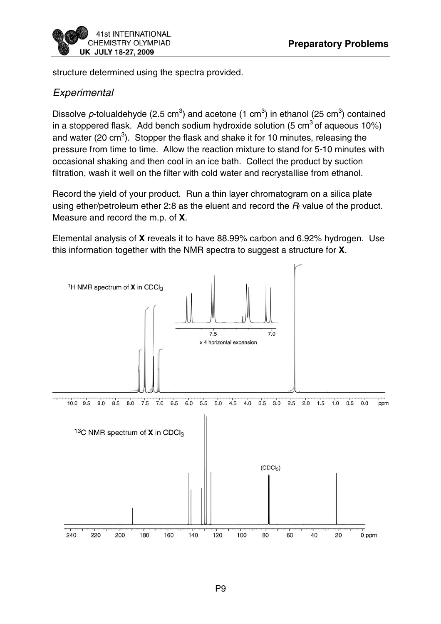

structure determined using the spectra provided.

#### **Experimental**

Dissolve p-tolualdehyde (2.5 cm<sup>3</sup>) and acetone (1 cm<sup>3</sup>) in ethanol (25 cm<sup>3</sup>) contained in a stoppered flask. Add bench sodium hydroxide solution (5  $\text{cm}^3$  of aqueous 10%) and water (20 cm<sup>3</sup>). Stopper the flask and shake it for 10 minutes, releasing the pressure from time to time. Allow the reaction mixture to stand for 5-10 minutes with occasional shaking and then cool in an ice bath. Collect the product by suction filtration, wash it well on the filter with cold water and recrystallise from ethanol.

Record the yield of your product. Run a thin layer chromatogram on a silica plate using ether/petroleum ether 2:8 as the eluent and record the  $R_f$  value of the product. Measure and record the m.p. of **X**.

Elemental analysis of **X** reveals it to have 88.99% carbon and 6.92% hydrogen. Use this information together with the NMR spectra to suggest a structure for **X**.

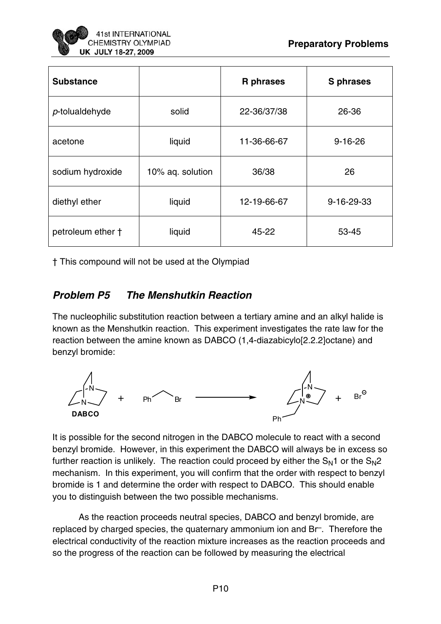

| <b>Substance</b>  |                  | R phrases   | S phrases     |
|-------------------|------------------|-------------|---------------|
| p-tolualdehyde    | solid            | 22-36/37/38 | 26-36         |
| acetone           | liquid           | 11-36-66-67 | $9 - 16 - 26$ |
| sodium hydroxide  | 10% aq. solution | 36/38       | 26            |
| diethyl ether     | liquid           | 12-19-66-67 | 9-16-29-33    |
| petroleum ether † | liquid           | 45-22       | 53-45         |

† This compound will not be used at the Olympiad

## **Problem P5 The Menshutkin Reaction**

The nucleophilic substitution reaction between a tertiary amine and an alkyl halide is known as the Menshutkin reaction. This experiment investigates the rate law for the reaction between the amine known as DABCO (1,4-diazabicylo[2.2.2]octane) and benzyl bromide:



It is possible for the second nitrogen in the DABCO molecule to react with a second benzyl bromide. However, in this experiment the DABCO will always be in excess so further reaction is unlikely. The reaction could proceed by either the  $S_N1$  or the  $S_N2$ mechanism. In this experiment, you will confirm that the order with respect to benzyl bromide is 1 and determine the order with respect to DABCO. This should enable you to distinguish between the two possible mechanisms.

 As the reaction proceeds neutral species, DABCO and benzyl bromide, are replaced by charged species, the quaternary ammonium ion and Br–. Therefore the electrical conductivity of the reaction mixture increases as the reaction proceeds and so the progress of the reaction can be followed by measuring the electrical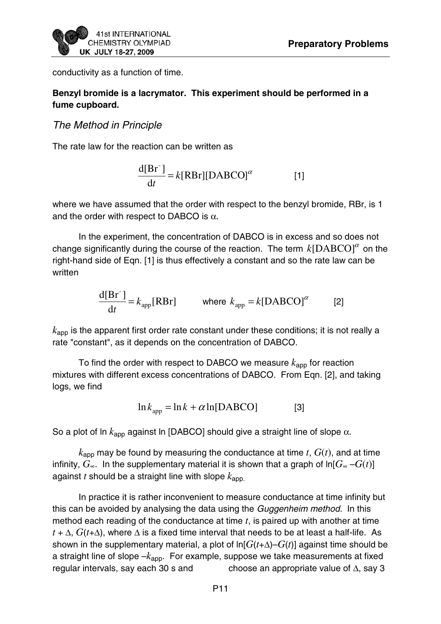conductivity as a function of time.

#### **Benzyl bromide is a lacrymator. This experiment should be performed in a fume cupboard.**

#### The Method in Principle

The rate law for the reaction can be written as

$$
\frac{d[Br^-]}{dt} = k[RBr][DABCO]^{\alpha}
$$
 [1]

where we have assumed that the order with respect to the benzyl bromide, RBr, is 1 and the order with respect to DABCO is  $\alpha$ .

 In the experiment, the concentration of DABCO is in excess and so does not change significantly during the course of the reaction. The term  $k[DABCO]^{\alpha}$  on the right-hand side of Eqn. [1] is thus effectively a constant and so the rate law can be written

$$
\frac{d[Br^-]}{dt} = k_{app}[RBr] \qquad \text{where } k_{app} = k[DABCO]^{\alpha} \qquad [2]
$$

 $k<sub>app</sub>$  is the apparent first order rate constant under these conditions; it is not really a rate "constant", as it depends on the concentration of DABCO.

To find the order with respect to DABCO we measure  $k_{\text{app}}$  for reaction mixtures with different excess concentrations of DABCO. From Eqn. [2], and taking logs, we find

$$
\ln k_{\rm app} = \ln k + \alpha \ln[\text{DABCO}] \tag{3}
$$

So a plot of ln  $k_{\text{apo}}$  against ln [DABCO] should give a straight line of slope  $\alpha$ .

 $k_{\text{app}}$  may be found by measuring the conductance at time  $t$ ,  $G(t)$ , and at time infinity,  $G_{\infty}$ . In the supplementary material it is shown that a graph of  $\ln[G_{\infty} - G(t)]$ against *t* should be a straight line with slope *k*app.

 In practice it is rather inconvenient to measure conductance at time infinity but this can be avoided by analysing the data using the Guggenheim method. In this method each reading of the conductance at time *t*, is paired up with another at time  $t + \Delta$ ,  $G(t+\Delta)$ , where  $\Delta$  is a fixed time interval that needs to be at least a half-life. As shown in the supplementary material, a plot of  $\ln[G(t+\Delta)-G(t)]$  against time should be a straight line of slope –*k*app. For example, suppose we take measurements at fixed regular intervals, say each 30 s and choose an appropriate value of  $\Delta$ , say 3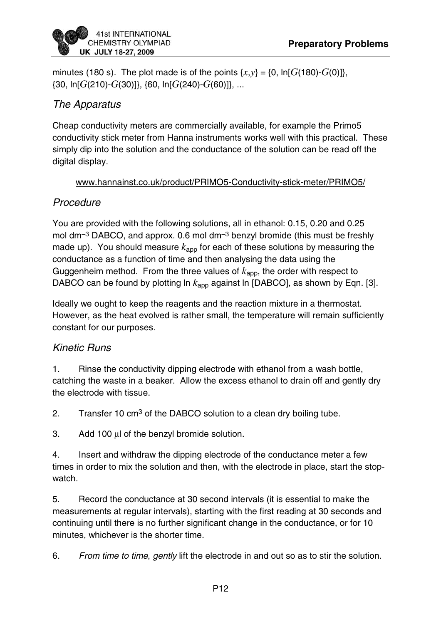minutes (180 s). The plot made is of the points  $\{x,y\} = \{0, \ln[G(180) - G(0)]\}$ , {30, ln[*G*(210)-*G*(30)]}, {60, ln[*G*(240)-*G*(60)]}, ...

#### The Apparatus

Cheap conductivity meters are commercially available, for example the Primo5 conductivity stick meter from Hanna instruments works well with this practical. These simply dip into the solution and the conductance of the solution can be read off the digital display.

#### www.hannainst.co.uk/product/PRIMO5-Conductivity-stick-meter/PRIMO5/

# **Procedure**

You are provided with the following solutions, all in ethanol: 0.15, 0.20 and 0.25 mol dm<sup>-3</sup> DABCO, and approx. 0.6 mol dm<sup>-3</sup> benzyl bromide (this must be freshly made up). You should measure  $k_{\text{app}}$  for each of these solutions by measuring the conductance as a function of time and then analysing the data using the Guggenheim method. From the three values of  $k_{\text{apo}}$ , the order with respect to DABCO can be found by plotting ln  $k_{\text{app}}$  against ln [DABCO], as shown by Eqn. [3].

Ideally we ought to keep the reagents and the reaction mixture in a thermostat. However, as the heat evolved is rather small, the temperature will remain sufficiently constant for our purposes.

## Kinetic Runs

1. Rinse the conductivity dipping electrode with ethanol from a wash bottle, catching the waste in a beaker. Allow the excess ethanol to drain off and gently dry the electrode with tissue.

2. Transfer 10 cm<sup>3</sup> of the DABCO solution to a clean dry boiling tube.

3. Add 100 μl of the benzyl bromide solution.

4. Insert and withdraw the dipping electrode of the conductance meter a few times in order to mix the solution and then, with the electrode in place, start the stopwatch.

5. Record the conductance at 30 second intervals (it is essential to make the measurements at regular intervals), starting with the first reading at 30 seconds and continuing until there is no further significant change in the conductance, or for 10 minutes, whichever is the shorter time.

6. From time to time, gently lift the electrode in and out so as to stir the solution.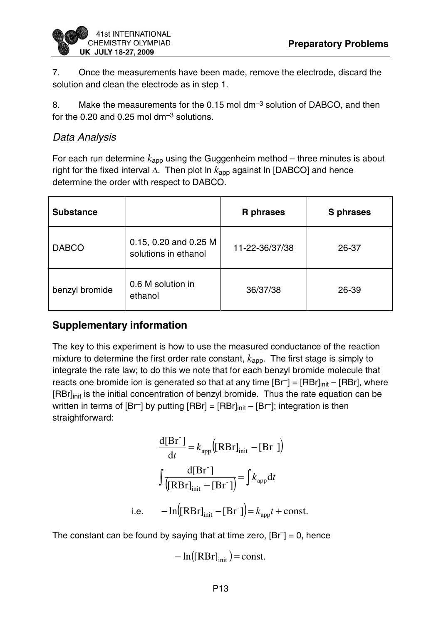7. Once the measurements have been made, remove the electrode, discard the solution and clean the electrode as in step 1.

8. Make the measurements for the 0.15 mol  $dm^{-3}$  solution of DABCO, and then for the 0.20 and 0.25 mol  $dm^{-3}$  solutions.

#### Data Analysis

For each run determine  $k_{\text{app}}$  using the Guggenheim method – three minutes is about right for the fixed interval Δ. Then plot ln *k*app against ln [DABCO] and hence determine the order with respect to DABCO.

| <b>Substance</b> |                                               | <b>R</b> phrases | <b>S</b> phrases |
|------------------|-----------------------------------------------|------------------|------------------|
| <b>DABCO</b>     | 0.15, 0.20 and 0.25 M<br>solutions in ethanol | 11-22-36/37/38   | 26-37            |
| benzyl bromide   | 0.6 M solution in<br>ethanol                  | 36/37/38         | 26-39            |

## **Supplementary information**

The key to this experiment is how to use the measured conductance of the reaction mixture to determine the first order rate constant,  $k_{\text{app}}$ . The first stage is simply to integrate the rate law; to do this we note that for each benzyl bromide molecule that reacts one bromide ion is generated so that at any time  $[Br] = [RBr]_{init} - [RBr]$ , where [RBr]<sub>init</sub> is the initial concentration of benzyl bromide. Thus the rate equation can be written in terms of  $[Br]$  by putting  $[RBr] = [RBr]_{init} - [Br]$ ; integration is then straightforward:

$$
\frac{d[Br^-]}{dt} = k_{app} ([RBr]_{init} - [Br^-])
$$

$$
\int \frac{d[Br^-]}{([RBr]_{init} - [Br^-])} = \int k_{app} dt
$$
  
i.e. 
$$
- \ln([RBr]_{init} - [Br^-]) = k_{app} t + const.
$$

The constant can be found by saying that at time zero,  $[Br] = 0$ , hence

 $-\ln([RBr]_{init}) = \text{const.}$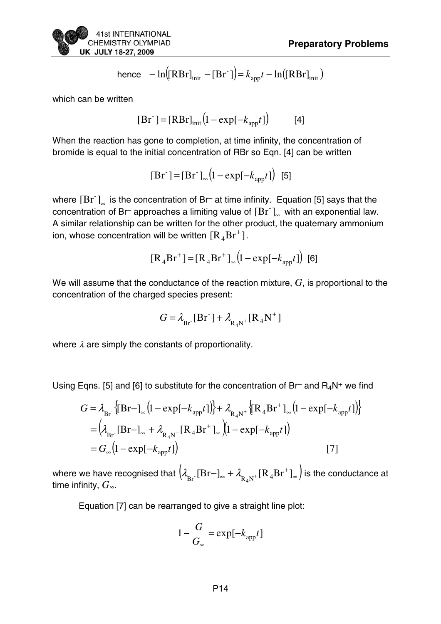hence 
$$
-\ln[(RBr]_{init} - [Br^-]) = k_{app}t - \ln([RBr]_{init})
$$

which can be written

$$
[\text{Br}^-] = [\text{RBr}]_{\text{init}} \left( 1 - \exp[-k_{\text{app}} t] \right) \tag{4}
$$

When the reaction has gone to completion, at time infinity, the concentration of bromide is equal to the initial concentration of RBr so Eqn. [4] can be written

 $[Br^-] = [Br^-]_{\infty} (1 - \exp[-k_{app}t])$  [5]

where  $[\bar{B}r^{\dagger}]_{\infty}$  is the concentration of Br<sup>-</sup> at time infinity. Equation [5] says that the concentration of Br<sup>–</sup> approaches a limiting value of  $[\rm Br^-]_{\scriptscriptstyle \infty}$  with an exponential law. A similar relationship can be written for the other product, the quaternary ammonium ion, whose concentration will be written  $\mathrm{[R_4Br^+]}$ .

$$
[\mathbf{R}_4 \mathbf{B} \mathbf{r}^+] = [\mathbf{R}_4 \mathbf{B} \mathbf{r}^+]_{\infty} (1 - \exp[-k_{\text{app}} t])
$$
 [6]

We will assume that the conductance of the reaction mixture, *G*, is proportional to the concentration of the charged species present:

$$
G = \lambda_{\text{Br}^\text{-}}[\text{Br}^\text{-}] + \lambda_{\text{R}_4\text{N}^+}[\text{R}_4\text{N}^+]
$$

where  $\lambda$  are simply the constants of proportionality.

Using Eqns. [5] and [6] to substitute for the concentration of Br and  $R_4N^+$  we find

$$
G = \lambda_{\text{Br}^+} \{ [\text{Br} - ]_{\infty} (1 - \exp[-k_{\text{app}} t]) \} + \lambda_{\text{R}_4 \text{N}^+} \{ [\text{R}_4 \text{Br}^+]_{\infty} (1 - \exp[-k_{\text{app}} t]) \}
$$
  
=  $(\lambda_{\text{Br}^-} [\text{Br} - ]_{\infty} + \lambda_{\text{R}_4 \text{N}^+} [\text{R}_4 \text{Br}^+]_{\infty} (1 - \exp[-k_{\text{app}} t])$  [7]

where we have recognised that  $\big(\lambda_{\mathrm{Br}^+}[\mathrm{Br-}]_\infty+\lambda_{\mathrm{R}_4\mathrm{N}^+}[\mathrm{R}_4\mathrm{Br}^+]_\infty\big)$  is the conductance at time infinity, *G∞*.

Equation [7] can be rearranged to give a straight line plot:

$$
1 - \frac{G}{G_{\infty}} = \exp[-k_{app}t]
$$